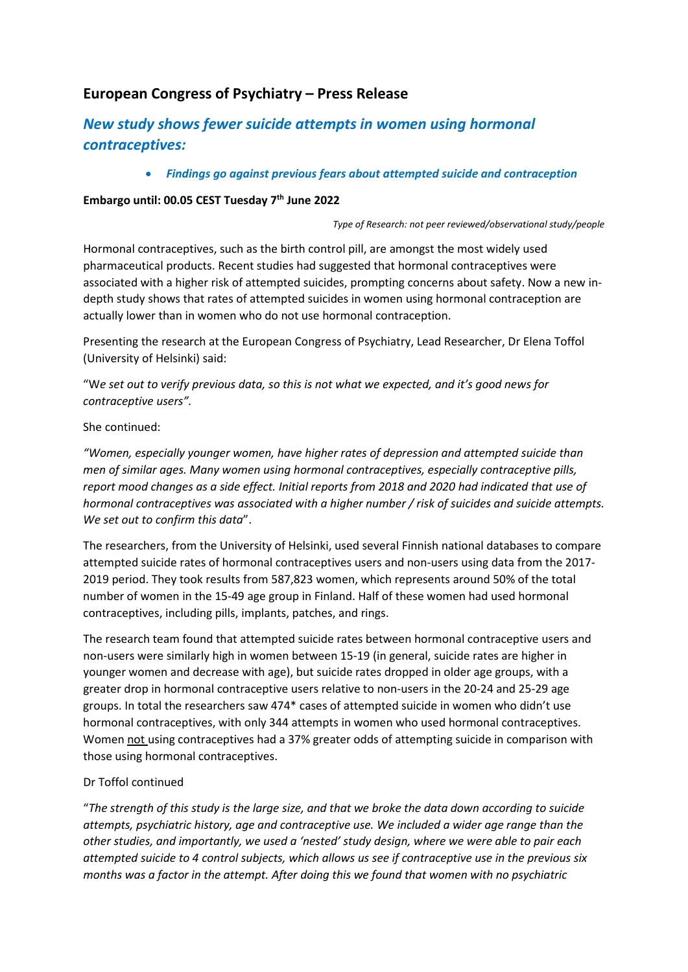## **European Congress of Psychiatry – Press Release**

# *New study shows fewer suicide attempts in women using hormonal contraceptives:*

• *Findings go against previous fears about attempted suicide and contraception*

#### **Embargo until: 00.05 CEST Tuesday 7th June 2022**

*Type of Research: not peer reviewed/observational study/people*

Hormonal contraceptives, such as the birth control pill, are amongst the most widely used pharmaceutical products. Recent studies had suggested that hormonal contraceptives were associated with a higher risk of attempted suicides, prompting concerns about safety. Now a new indepth study shows that rates of attempted suicides in women using hormonal contraception are actually lower than in women who do not use hormonal contraception.

Presenting the research at the European Congress of Psychiatry, Lead Researcher, Dr Elena Toffol (University of Helsinki) said:

"W*e set out to verify previous data, so this is not what we expected, and it's good news for contraceptive users".* 

#### She continued:

*"Women, especially younger women, have higher rates of depression and attempted suicide than men of similar ages. Many women using hormonal contraceptives, especially contraceptive pills, report mood changes as a side effect. Initial reports from 2018 and 2020 had indicated that use of hormonal contraceptives was associated with a higher number / risk of suicides and suicide attempts. We set out to confirm this data*".

The researchers, from the University of Helsinki, used several Finnish national databases to compare attempted suicide rates of hormonal contraceptives users and non-users using data from the 2017- 2019 period. They took results from 587,823 women, which represents around 50% of the total number of women in the 15-49 age group in Finland. Half of these women had used hormonal contraceptives, including pills, implants, patches, and rings.

The research team found that attempted suicide rates between hormonal contraceptive users and non-users were similarly high in women between 15-19 (in general, suicide rates are higher in younger women and decrease with age), but suicide rates dropped in older age groups, with a greater drop in hormonal contraceptive users relative to non-users in the 20-24 and 25-29 age groups. In total the researchers saw 474\* cases of attempted suicide in women who didn't use hormonal contraceptives, with only 344 attempts in women who used hormonal contraceptives. Women not using contraceptives had a 37% greater odds of attempting suicide in comparison with those using hormonal contraceptives.

### Dr Toffol continued

"*The strength of this study is the large size, and that we broke the data down according to suicide attempts, psychiatric history, age and contraceptive use. We included a wider age range than the other studies, and importantly, we used a 'nested' study design, where we were able to pair each attempted suicide to 4 control subjects, which allows us see if contraceptive use in the previous six months was a factor in the attempt. After doing this we found that women with no psychiatric*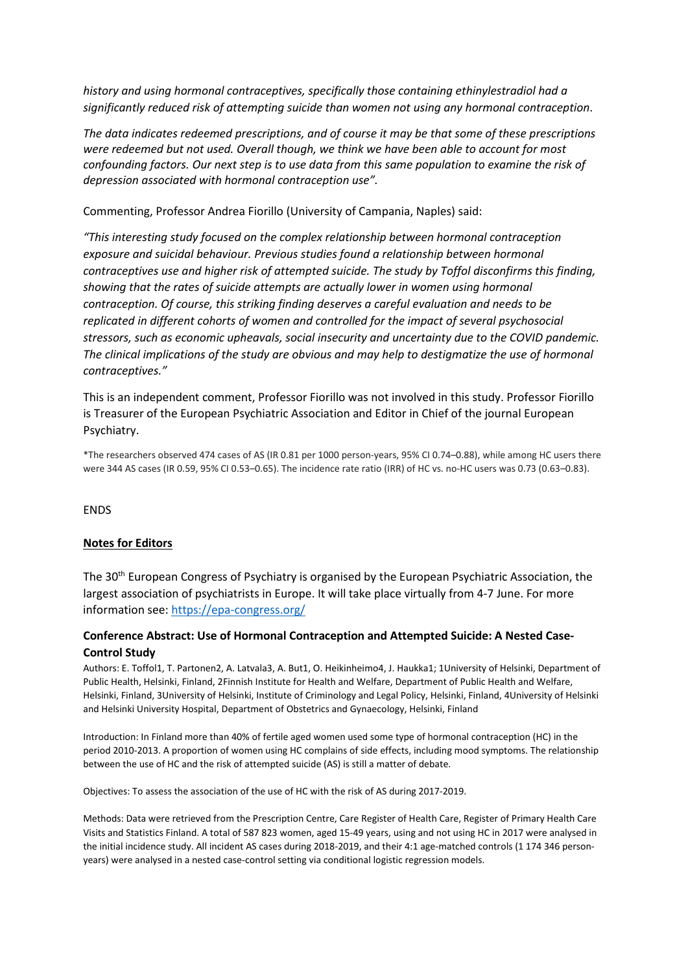*history and using hormonal contraceptives, specifically those containing ethinylestradiol had a significantly reduced risk of attempting suicide than women not using any hormonal contraception*.

*The data indicates redeemed prescriptions, and of course it may be that some of these prescriptions were redeemed but not used. Overall though, we think we have been able to account for most confounding factors. Our next step is to use data from this same population to examine the risk of depression associated with hormonal contraception use".*

Commenting, Professor Andrea Fiorillo (University of Campania, Naples) said:

*"This interesting study focused on the complex relationship between hormonal contraception exposure and suicidal behaviour. Previous studies found a relationship between hormonal contraceptives use and higher risk of attempted suicide. The study by Toffol disconfirms this finding, showing that the rates of suicide attempts are actually lower in women using hormonal contraception. Of course, this striking finding deserves a careful evaluation and needs to be replicated in different cohorts of women and controlled for the impact of several psychosocial stressors, such as economic upheavals, social insecurity and uncertainty due to the COVID pandemic. The clinical implications of the study are obvious and may help to destigmatize the use of hormonal contraceptives."*

This is an independent comment, Professor Fiorillo was not involved in this study. Professor Fiorillo is Treasurer of the European Psychiatric Association and Editor in Chief of the journal European Psychiatry.

\*The researchers observed 474 cases of AS (IR 0.81 per 1000 person-years, 95% CI 0.74–0.88), while among HC users there were 344 AS cases (IR 0.59, 95% CI 0.53–0.65). The incidence rate ratio (IRR) of HC vs. no-HC users was 0.73 (0.63–0.83).

ENDS

#### **Notes for Editors**

The 30th European Congress of Psychiatry is organised by the European Psychiatric Association, the largest association of psychiatrists in Europe. It will take place virtually from 4-7 June. For more information see:<https://epa-congress.org/>

#### **Conference Abstract: Use of Hormonal Contraception and Attempted Suicide: A Nested Case-Control Study**

Authors: E. Toffol1, T. Partonen2, A. Latvala3, A. But1, O. Heikinheimo4, J. Haukka1; 1University of Helsinki, Department of Public Health, Helsinki, Finland, 2Finnish Institute for Health and Welfare, Department of Public Health and Welfare, Helsinki, Finland, 3University of Helsinki, Institute of Criminology and Legal Policy, Helsinki, Finland, 4University of Helsinki and Helsinki University Hospital, Department of Obstetrics and Gynaecology, Helsinki, Finland

Introduction: In Finland more than 40% of fertile aged women used some type of hormonal contraception (HC) in the period 2010-2013. A proportion of women using HC complains of side effects, including mood symptoms. The relationship between the use of HC and the risk of attempted suicide (AS) is still a matter of debate.

Objectives: To assess the association of the use of HC with the risk of AS during 2017-2019.

Methods: Data were retrieved from the Prescription Centre, Care Register of Health Care, Register of Primary Health Care Visits and Statistics Finland. A total of 587 823 women, aged 15-49 years, using and not using HC in 2017 were analysed in the initial incidence study. All incident AS cases during 2018-2019, and their 4:1 age-matched controls (1 174 346 personyears) were analysed in a nested case-control setting via conditional logistic regression models.